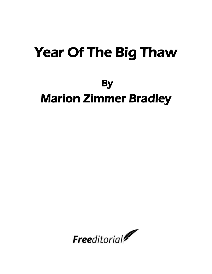## Year Of The Big Thaw

## **By**

## Marion Zimmer Bradley

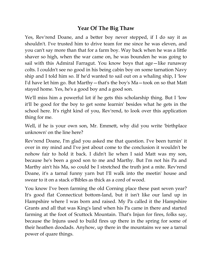## **Year Of The Big Thaw**

Yes, Rev'rend Doane, and a better boy never stepped, if I do say it as shouldn't. I've trusted him to drive team for me since he was eleven, and you can't say more than that for a farm boy. Way back when he was a little shaver so high, when the war came on, he was bounden he was going to sail with this Admiral Farragut. You know boys that age—like runaway colts. I couldn't see no good in his being cabin boy on some tarnation Navy ship and I told him so. If he'd wanted to sail out on a whaling ship, I 'low I'd have let him go. But Marthy—that's the boy's Ma—took on so that Matt stayed home. Yes, he's a good boy and a good son.

We'll miss him a powerful lot if he gets this scholarship thing. But I 'low it'll be good for the boy to get some learnin' besides what he gets in the school here. It's right kind of you, Rev'rend, to look over this application thing for me.

Well, if he is your own son, Mr. Emmett, why did you write 'birthplace unknown' on the line here?

Rev'rend Doane, I'm glad you asked me that question. I've been turnin' it over in my mind and I've jest about come to the conclusion it wouldn't be nohow fair to hold it back. I didn't lie when I said Matt was my son, because he's been a good son to me and Marthy. But I'm not his Pa and Marthy ain't his Ma, so could be I stretched the truth jest a mite. Rev'rend Doane, it's a tarnal funny yarn but I'll walk into the meetin' house and swear to it on a stack o'Bibles as thick as a cord of wood.

You know I've been farming the old Corning place these past seven year? It's good flat Connecticut bottom-land, but it isn't like our land up in Hampshire where I was born and raised. My Pa called it the Hampshire Grants and all that was King's land when his Pa came in there and started farming at the foot of Scuttock Mountain. That's Injun for fires, folks say, because the Injuns used to build fires up there in the spring for some of their heathen doodads. Anyhow, up there in the mountains we see a tarnal power of quare things.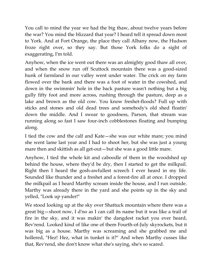You call to mind the year we had the big thaw, about twelve years before the war? You mind the blizzard that year? I heard tell it spread down most to York. And at Fort Orange, the place they call Albany now, the Hudson froze right over, so they say. But those York folks do a sight of exaggerating, I'm told.

Anyhow, when the ice went out there was an almighty good thaw all over, and when the snow run off Scuttock mountain there was a good-sized hunk of farmland in our valley went under water. The crick on my farm flowed over the bank and there was a foot of water in the cowshed, and down in the swimmin' hole in the back pasture wasn't nothing but a big gully fifty foot and more across, rushing through the pasture, deep as a lake and brown as the old cow. You know freshet-floods? Full up with sticks and stones and old dead trees and somebody's old shed floatin' down the middle. And I swear to goodness, Parson, that stream was running along so fast I saw four-inch cobblestones floating and bumping along.

I tied the cow and the calf and Kate—she was our white mare; you mind she went lame last year and I had to shoot her, but she was just a young mare then and skittish as all get-out—but she was a good little mare.

Anyhow, I tied the whole kit and caboodle of them in the woodshed up behind the house, where they'd be dry, then I started to get the milkpail. Right then I heard the gosh-awfullest screech I ever heard in my life. Sounded like thunder and a freshet and a forest-fire all at once. I dropped the milkpail as I heard Marthy scream inside the house, and I run outside. Marthy was already there in the yard and she points up in the sky and yelled, "Look up yander!"

We stood looking up at the sky over Shattuck mountain where there was a great big—shoot now, I d'no as I can call its name but it was like a trail of fire in the sky, and it was makin' the dangdest racket you ever heard, Rev'rend. Looked kind of like one of them Fourth-of-July skyrockets, but it was big as a house. Marthy was screaming and she grabbed me and hollered, "Hez! Hez, what in tunket is it?" And when Marthy cusses like that, Rev'rend, she don't know what she's saying, she's so scared.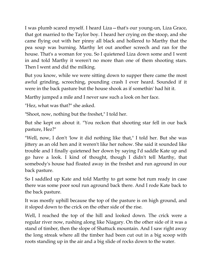I was plumb scared myself. I heard Liza—that's our young-un, Liza Grace, that got married to the Taylor boy. I heard her crying on the stoop, and she came flying out with her pinny all black and hollered to Marthy that the pea soup was burning. Marthy let out another screech and ran for the house. That's a woman for you. So I quietened Liza down some and I went in and told Marthy it weren't no more than one of them shooting stars. Then I went and did the milking.

But you know, while we were sitting down to supper there came the most awful grinding, screeching, pounding crash I ever heard. Sounded if it were in the back pasture but the house shook as if somethin' had hit it.

Marthy jumped a mile and I never saw such a look on her face.

"Hez, what was that?" she asked.

"Shoot, now, nothing but the freshet," I told her.

But she kept on about it. "You reckon that shooting star fell in our back pasture, Hez?"

"Well, now, I don't 'low it did nothing like that," I told her. But she was jittery as an old hen and it weren't like her nohow. She said it sounded like trouble and I finally quietened her down by saying I'd saddle Kate up and go have a look. I kind of thought, though I didn't tell Marthy, that somebody's house had floated away in the freshet and run aground in our back pasture.

So I saddled up Kate and told Marthy to get some hot rum ready in case there was some poor soul run aground back there. And I rode Kate back to the back pasture.

It was mostly uphill because the top of the pasture is on high ground, and it sloped down to the crick on the other side of the rise.

Well, I reached the top of the hill and looked down. The crick were a regular river now, rushing along like Niagary. On the other side of it was a stand of timber, then the slope of Shattuck mountain. And I saw right away the long streak where all the timber had been cut out in a big scoop with roots standing up in the air and a big slide of rocks down to the water.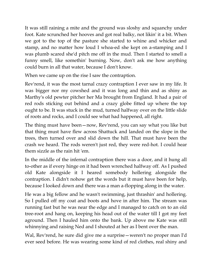It was still raining a mite and the ground was sloshy and squanchy under foot. Kate scrunched her hooves and got real balky, not likin' it a bit. When we got to the top of the pasture she started to whine and whicker and stamp, and no matter how loud I whoa-ed she kept on a-stamping and I was plumb scared she'd pitch me off in the mud. Then I started to smell a funny smell, like somethin' burning. Now, don't ask me how anything could burn in all that water, because I don't know.

When we came up on the rise I saw the contraption.

Rev'rend, it was the most tarnal crazy contraption I ever saw in my life. It was bigger nor my cowshed and it was long and thin and as shiny as Marthy's old pewter pitcher her Ma brought from England. It had a pair of red rods sticking out behind and a crazy globe fitted up where the top ought to be. It was stuck in the mud, turned halfway over on the little slide of roots and rocks, and I could see what had happened, all right.

The thing must have been—now, Rev'rend, you can say what you like but that thing must have flew across Shattuck and landed on the slope in the trees, then turned over and slid down the hill. That must have been the crash we heard. The rods weren't just red, they were red-hot. I could hear them sizzle as the rain hit 'em.

In the middle of the infernal contraption there was a door, and it hung all to-other as if every hinge on it had been wrenched halfway off. As I pushed old Kate alongside it I heared somebody hollering alongside the contraption. I didn't nohow get the words but it must have been for help, because I looked down and there was a man a-flopping along in the water.

He was a big fellow and he wasn't swimming, just thrashin' and hollering. So I pulled off my coat and boots and hove in after him. The stream was running fast but he was near the edge and I managed to catch on to an old tree-root and hang on, keeping his head out of the water till I got my feet aground. Then I hauled him onto the bank. Up above me Kate was still whinnying and raising Ned and I shouted at her as I bent over the man.

Wal, Rev'rend, he sure did give me a surprise—weren't no proper man I'd ever seed before. He was wearing some kind of red clothes, real shiny and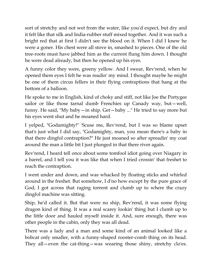sort of stretchy and not wet from the water, like you'd expect, but dry and it felt like that silk and India-rubber stuff mixed together. And it was such a bright red that at first I didn't see the blood on it. When I did I knew he were a goner. His chest were all stove in, smashed to pieces. One of the old tree-roots must have jabbed him as the current flung him down. I thought he were dead already, but then he opened up his eyes.

A funny color they were, greeny yellow. And I swear, Rev'rend, when he opened them eyes I felt he was readin' my mind. I thought maybe he might be one of them circus fellers in their flying contraptions that hang at the bottom of a balloon.

He spoke to me in English, kind of choky and stiff, not like Joe the Portygee sailor or like those tarnal dumb Frenchies up Canady way, but—well, funny. He said, "My baby—in ship. Get—baby ..." He tried to say more but his eyes went shut and he moaned hard.

I yelped, "Godamighty!" 'Scuse me, Rev'rend, but I was so blame upset that's just what I did say, "Godamighty, man, you mean there's a baby in that there dingfol contraption?" He just moaned so after spreadin' my coat around the man a little bit I just plunged in that there river again.

Rev'rend, I heard tell once about some tomfool idiot going over Niagary in a barrel, and I tell you it was like that when I tried crossin' that freshet to reach the contraption.

I went under and down, and was whacked by floating sticks and whirled around in the freshet. But somehow, I d'no how except by the pure grace of God, I got across that raging torrent and clumb up to where the crazy dingfol machine was sitting.

Ship, he'd called it. But that were no ship, Rev'rend, it was some flying dragon kind of thing. It was a real scarey lookin' thing but I clumb up to the little door and hauled myself inside it. And, sure enough, there was other people in the cabin, only they was all dead.

There was a lady and a man and some kind of an animal looked like a bobcat only smaller, with a funny-shaped rooster-comb thing on its head. They all—even the cat-thing—was wearing those shiny, stretchy clo'es.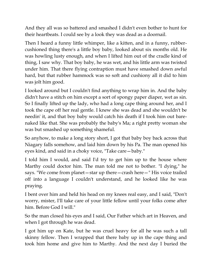And they all was so battered and smashed I didn't even bother to hunt for their heartbeats. I could see by a look they was dead as a doornail.

Then I heard a funny little whimper, like a kitten, and in a funny, rubbercushioned thing there's a little boy baby, looked about six months old. He was howling lusty enough, and when I lifted him out of the cradle kind of thing, I saw why. That boy baby, he was wet, and his little arm was twisted under him. That there flying contraption must have smashed down awful hard, but that rubber hammock was so soft and cushiony all it did to him was jolt him good.

I looked around but I couldn't find anything to wrap him in. And the baby didn't have a stitch on him except a sort of spongy paper diaper, wet as sin. So I finally lifted up the lady, who had a long cape thing around her, and I took the cape off her real gentle. I knew she was dead and she wouldn't be needin' it, and that boy baby would catch his death if I took him out barenaked like that. She was probably the baby's Ma; a right pretty woman she was but smashed up something shameful.

So anyhow, to make a long story short, I got that baby boy back across that Niagary falls somehow, and laid him down by his Pa. The man opened his eyes kind, and said in a choky voice, "Take care—baby."

I told him I would, and said I'd try to get him up to the house where Marthy could doctor him. The man told me not to bother. "I dying," he says. "We come from planet—star up there—crash here—" His voice trailed off into a language I couldn't understand, and he looked like he was praying.

I bent over him and held his head on my knees real easy, and I said, "Don't worry, mister, I'll take care of your little fellow until your folks come after him. Before God I will."

So the man closed his eyes and I said, Our Father which art in Heaven, and when I got through he was dead.

I got him up on Kate, but he was cruel heavy for all he was such a tall skinny fellow. Then I wrapped that there baby up in the cape thing and took him home and give him to Marthy. And the next day I buried the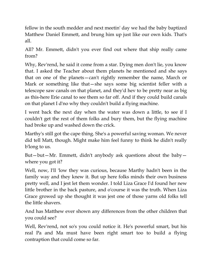fellow in the south medder and next meetin' day we had the baby baptized Matthew Daniel Emmett, and brung him up just like our own kids. That's all.

All? Mr. Emmett, didn't you ever find out where that ship really came from?

Why, Rev'rend, he said it come from a star. Dying men don't lie, you know that. I asked the Teacher about them planets he mentioned and she says that on one of the planets—can't rightly remember the name, March or Mark or something like that—she says some big scientist feller with a telescope saw canals on that planet, and they'd hev to be pretty near as big as this-here Erie canal to see them so far off. And if they could build canals on that planet I d'no why they couldn't build a flying machine.

I went back the next day when the water was down a little, to see if I couldn't get the rest of them folks and bury them, but the flying machine had broke up and washed down the crick.

Marthy's still got the cape thing. She's a powerful saving woman. We never did tell Matt, though. Might make him feel funny to think he didn't really b'long to us.

But—but—Mr. Emmett, didn't anybody ask questions about the baby where you got it?

Well, now, I'll 'low they was curious, because Marthy hadn't been in the family way and they knew it. But up here folks minds their own business pretty well, and I jest let them wonder. I told Liza Grace I'd found her new little brother in the back pasture, and o'course it was the truth. When Liza Grace growed up she thought it was jest one of those yarns old folks tell the little shavers.

And has Matthew ever shown any differences from the other children that you could see?

Well, Rev'rend, not so's you could notice it. He's powerful smart, but his real Pa and Ma must have been right smart too to build a flying contraption that could come so far.